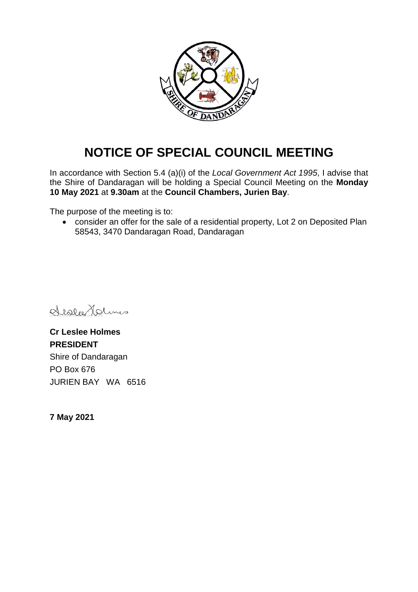

# **NOTICE OF SPECIAL COUNCIL MEETING**

In accordance with Section 5.4 (a)(i) of the *Local Government Act 1995*, I advise that the Shire of Dandaragan will be holding a Special Council Meeting on the **Monday 10 May 2021** at **9.30am** at the **Council Chambers, Jurien Bay**.

The purpose of the meeting is to:

• consider an offer for the sale of a residential property, Lot 2 on Deposited Plan 58543, 3470 Dandaragan Road, Dandaragan

Sister Holms

**Cr Leslee Holmes PRESIDENT** Shire of Dandaragan PO Box 676 JURIEN BAY WA 6516

**7 May 2021**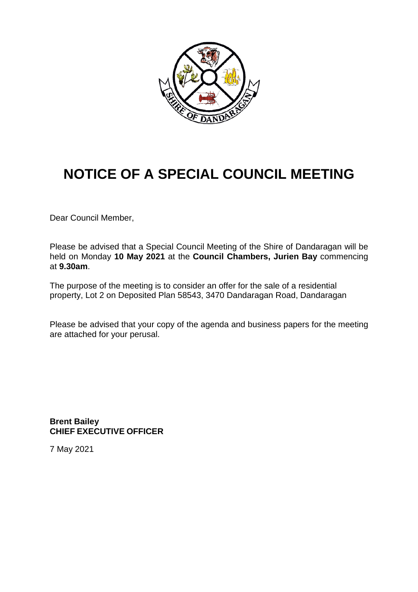

# **NOTICE OF A SPECIAL COUNCIL MEETING**

Dear Council Member,

Please be advised that a Special Council Meeting of the Shire of Dandaragan will be held on Monday **10 May 2021** at the **Council Chambers, Jurien Bay** commencing at **9.30am**.

The purpose of the meeting is to consider an offer for the sale of a residential property, Lot 2 on Deposited Plan 58543, 3470 Dandaragan Road, Dandaragan

Please be advised that your copy of the agenda and business papers for the meeting are attached for your perusal.

**Brent Bailey CHIEF EXECUTIVE OFFICER**

7 May 2021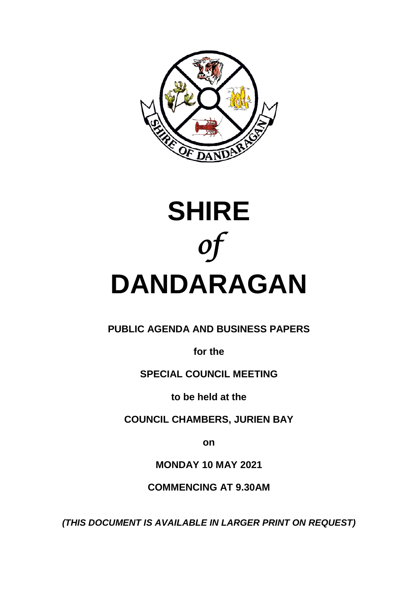



## **PUBLIC AGENDA AND BUSINESS PAPERS**

**for the**

## **SPECIAL COUNCIL MEETING**

**to be held at the**

**COUNCIL CHAMBERS, JURIEN BAY**

**on**

**MONDAY 10 MAY 2021**

**COMMENCING AT 9.30AM**

*(THIS DOCUMENT IS AVAILABLE IN LARGER PRINT ON REQUEST)*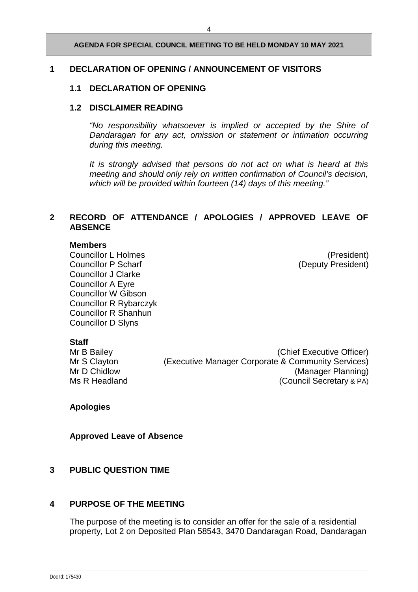#### **AGENDA FOR SPECIAL COUNCIL MEETING TO BE HELD MONDAY 10 MAY 2021**

#### **1 DECLARATION OF OPENING / ANNOUNCEMENT OF VISITORS**

#### **1.1 DECLARATION OF OPENING**

#### **1.2 DISCLAIMER READING**

*"No responsibility whatsoever is implied or accepted by the Shire of Dandaragan for any act, omission or statement or intimation occurring during this meeting.*

*It is strongly advised that persons do not act on what is heard at this meeting and should only rely on written confirmation of Council's decision, which will be provided within fourteen (14) days of this meeting."*

#### **2 RECORD OF ATTENDANCE / APOLOGIES / APPROVED LEAVE OF ABSENCE**

#### **Members**

Councillor L Holmes<br>
Councillor P Scharf<br>
Councillor P Scharf

Councillor Councillor P Scharf

Councillor P Scharf

Councillor B Scharf

Councillor C Scharf

Councillor B Scharf

Councillor B Scharf Councillor J Clarke Councillor A Eyre Councillor W Gibson Councillor R Rybarczyk Councillor R Shanhun Councillor D Slyns

(Deputy President)

**Staff**<br>Mr B Bailey

(Chief Executive Officer) Mr S Clayton (Executive Manager Corporate & Community Services) Mr D Chidlow (Manager Planning)<br>
Ms R Headland (Council Secretary & PA) (Council Secretary & PA)

**Apologies** 

**Approved Leave of Absence**

#### **3 PUBLIC QUESTION TIME**

#### **4 PURPOSE OF THE MEETING**

The purpose of the meeting is to consider an offer for the sale of a residential property, Lot 2 on Deposited Plan 58543, 3470 Dandaragan Road, Dandaragan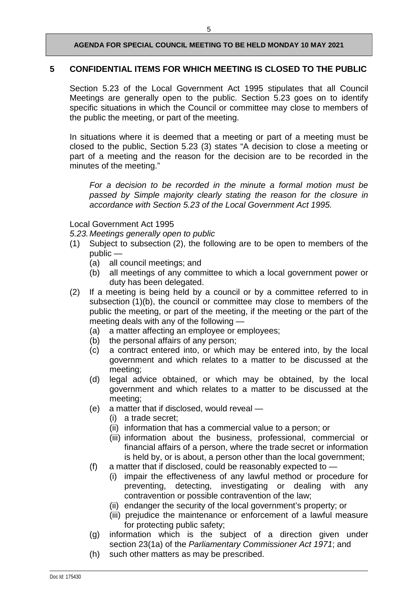#### **AGENDA FOR SPECIAL COUNCIL MEETING TO BE HELD MONDAY 10 MAY 2021**

#### **5 CONFIDENTIAL ITEMS FOR WHICH MEETING IS CLOSED TO THE PUBLIC**

Section 5.23 of the Local Government Act 1995 stipulates that all Council Meetings are generally open to the public. Section 5.23 goes on to identify specific situations in which the Council or committee may close to members of the public the meeting, or part of the meeting.

In situations where it is deemed that a meeting or part of a meeting must be closed to the public, Section 5.23 (3) states "A decision to close a meeting or part of a meeting and the reason for the decision are to be recorded in the minutes of the meeting."

*For a decision to be recorded in the minute a formal motion must be passed by Simple majority clearly stating the reason for the closure in accordance with Section 5.23 of the Local Government Act 1995.*

Local Government Act 1995

*5.23.Meetings generally open to public*

- (1) Subject to subsection (2), the following are to be open to members of the public —
	- (a) all council meetings; and
	- (b) all meetings of any committee to which a local government power or duty has been delegated.
- (2) If a meeting is being held by a council or by a committee referred to in subsection (1)(b), the council or committee may close to members of the public the meeting, or part of the meeting, if the meeting or the part of the meeting deals with any of the following —
	- (a) a matter affecting an employee or employees;
	- (b) the personal affairs of any person;
	- (c) a contract entered into, or which may be entered into, by the local government and which relates to a matter to be discussed at the meeting;
	- (d) legal advice obtained, or which may be obtained, by the local government and which relates to a matter to be discussed at the meeting;
	- (e) a matter that if disclosed, would reveal
		- (i) a trade secret;
		- (ii) information that has a commercial value to a person; or
		- (iii) information about the business, professional, commercial or financial affairs of a person, where the trade secret or information is held by, or is about, a person other than the local government;
	- (f) a matter that if disclosed, could be reasonably expected to  $-$ 
		- (i) impair the effectiveness of any lawful method or procedure for preventing, detecting, investigating or dealing with any contravention or possible contravention of the law;
		- (ii) endanger the security of the local government's property; or
		- (iii) prejudice the maintenance or enforcement of a lawful measure for protecting public safety;
	- (g) information which is the subject of a direction given under section 23(1a) of the *Parliamentary Commissioner Act 1971*; and
	- (h) such other matters as may be prescribed.